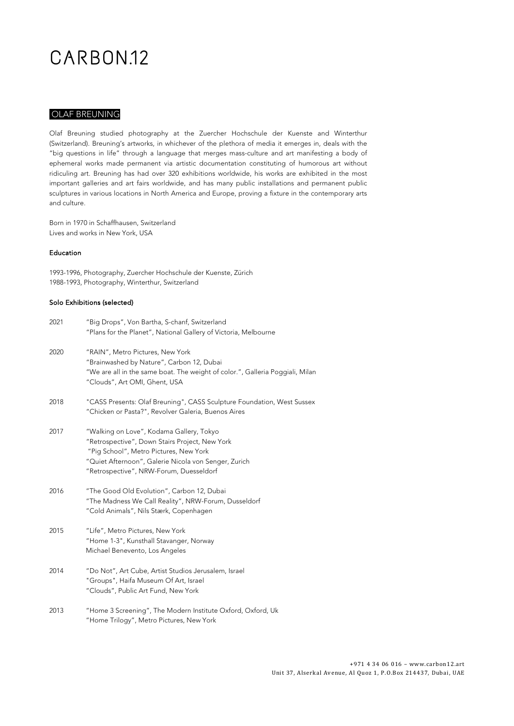#### OLAF BREUNING

Olaf Breuning studied photography at the Zuercher Hochschule der Kuenste and Winterthur (Switzerland). Breuning's artworks, in whichever of the plethora of media it emerges in, deals with the "big questions in life" through a language that merges mass-culture and art manifesting a body of ephemeral works made permanent via artistic documentation constituting of humorous art without ridiculing art. Breuning has had over 320 exhibitions worldwide, his works are exhibited in the most important galleries and art fairs worldwide, and has many public installations and permanent public sculptures in various locations in North America and Europe, proving a fixture in the contemporary arts and culture.

Born in 1970 in Schaffhausen, Switzerland Lives and works in New York, USA

#### Education

1993-1996, Photography, Zuercher Hochschule der Kuenste, Zürich 1988-1993, Photography, Winterthur, Switzerland

#### Solo Exhibitions (selected)

| 2021 | "Big Drops", Von Bartha, S-chanf, Switzerland<br>"Plans for the Planet", National Gallery of Victoria, Melbourne                                                                                                                        |
|------|-----------------------------------------------------------------------------------------------------------------------------------------------------------------------------------------------------------------------------------------|
| 2020 | "RAIN", Metro Pictures, New York<br>"Brainwashed by Nature", Carbon 12, Dubai<br>"We are all in the same boat. The weight of color.", Galleria Poggiali, Milan<br>"Clouds", Art OMI, Ghent, USA                                         |
| 2018 | "CASS Presents: Olaf Breuning", CASS Sculpture Foundation, West Sussex<br>"Chicken or Pasta?", Revolver Galeria, Buenos Aires                                                                                                           |
| 2017 | "Walking on Love", Kodama Gallery, Tokyo<br>"Retrospective", Down Stairs Project, New York<br>"Pig School", Metro Pictures, New York<br>"Quiet Afternoon", Galerie Nicola von Senger, Zurich<br>"Retrospective", NRW-Forum, Duesseldorf |
| 2016 | "The Good Old Evolution", Carbon 12, Dubai<br>"The Madness We Call Reality", NRW-Forum, Dusseldorf<br>"Cold Animals", Nils Stærk, Copenhagen                                                                                            |
| 2015 | "Life", Metro Pictures, New York<br>"Home 1-3", Kunsthall Stavanger, Norway<br>Michael Benevento, Los Angeles                                                                                                                           |
| 2014 | "Do Not", Art Cube, Artist Studios Jerusalem, Israel<br>"Groups", Haifa Museum Of Art, Israel<br>"Clouds", Public Art Fund, New York                                                                                                    |
| 2013 | "Home 3 Screening", The Modern Institute Oxford, Oxford, Uk<br>"Home Trilogy", Metro Pictures, New York                                                                                                                                 |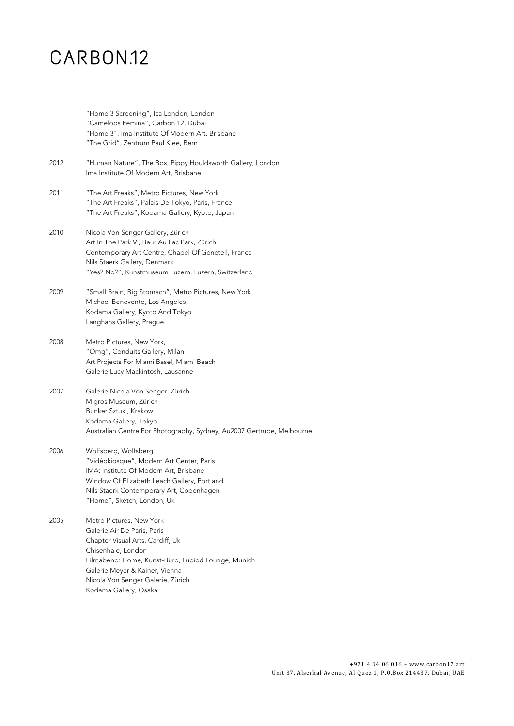### CARBON<sub>12</sub>

"Home 3 Screening", Ica London, London "Camelops Femina", Carbon 12, Dubai "Home 3", Ima Institute Of Modern Art, Brisbane "The Grid", Zentrum Paul Klee, Bern 2012 "Human Nature", The Box, Pippy Houldsworth Gallery, London Ima Institute Of Modern Art, Brisbane 2011 "The Art Freaks", Metro Pictures, New York "The Art Freaks", Palais De Tokyo, Paris, France "The Art Freaks", Kodama Gallery, Kyoto, Japan 2010 Nicola Von Senger Gallery, Zürich Art In The Park Vi, Baur Au Lac Park, Zürich Contemporary Art Centre, Chapel Of Geneteil, France Nils Staerk Gallery, Denmark "Yes? No?", Kunstmuseum Luzern, Luzern, Switzerland 2009 "Small Brain, Big Stomach", Metro Pictures, New York Michael Benevento, Los Angeles Kodama Gallery, Kyoto And Tokyo Langhans Gallery, Prague 2008 Metro Pictures, New York, "Omg", Conduits Gallery, Milan Art Projects For Miami Basel, Miami Beach Galerie Lucy Mackintosh, Lausanne 2007 Galerie Nicola Von Senger, Zürich Migros Museum, Zürich Bunker Sztuki, Krakow Kodama Gallery, Tokyo Australian Centre For Photography, Sydney, Au2007 Gertrude, Melbourne 2006 Wolfsberg, Wolfsberg "Vidéokiosque", Modern Art Center, Paris IMA: Institute Of Modern Art, Brisbane Window Of Elizabeth Leach Gallery, Portland Nils Staerk Contemporary Art, Copenhagen "Home", Sketch, London, Uk 2005 Metro Pictures, New York Galerie Air De Paris, Paris Chapter Visual Arts, Cardiff, Uk Chisenhale, London Filmabend: Home, Kunst-Büro, Lupiod Lounge, Munich Galerie Meyer & Kainer, Vienna Nicola Von Senger Galerie, Zürich Kodama Gallery, Osaka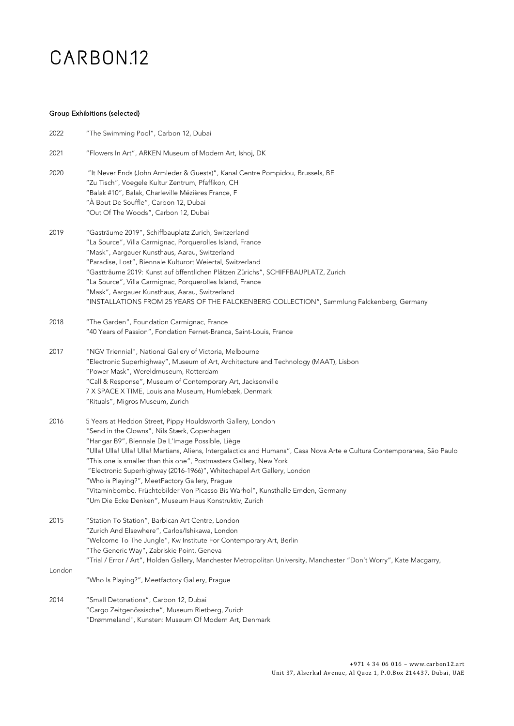#### Group Exhibitions (selected)

| 2022   | "The Swimming Pool", Carbon 12, Dubai                                                                                    |
|--------|--------------------------------------------------------------------------------------------------------------------------|
| 2021   | "Flowers In Art", ARKEN Museum of Modern Art, Ishoj, DK                                                                  |
| 2020   | "It Never Ends (John Armleder & Guests)", Kanal Centre Pompidou, Brussels, BE                                            |
|        | "Zu Tisch", Voegele Kultur Zentrum, Pfaffikon, CH                                                                        |
|        | "Balak #10", Balak, Charleville Mézières France, F                                                                       |
|        | "À Bout De Souffle", Carbon 12, Dubai                                                                                    |
|        | "Out Of The Woods", Carbon 12, Dubai                                                                                     |
| 2019   | "Gasträume 2019", Schiffbauplatz Zurich, Switzerland                                                                     |
|        | "La Source", Villa Carmignac, Porquerolles Island, France                                                                |
|        | "Mask", Aargauer Kunsthaus, Aarau, Switzerland                                                                           |
|        | "Paradise, Lost", Biennale Kulturort Weiertal, Switzerland                                                               |
|        | "Gastträume 2019: Kunst auf öffentlichen Plätzen Zürichs", SCHIFFBAUPLATZ, Zurich                                        |
|        | "La Source", Villa Carmignac, Porquerolles Island, France                                                                |
|        | "Mask", Aargauer Kunsthaus, Aarau, Switzerland                                                                           |
|        | "INSTALLATIONS FROM 25 YEARS OF THE FALCKENBERG COLLECTION", Sammlung Falckenberg, Germany                               |
| 2018   | "The Garden", Foundation Carmignac, France                                                                               |
|        | "40 Years of Passion", Fondation Fernet-Branca, Saint-Louis, France                                                      |
| 2017   | "NGV Triennial", National Gallery of Victoria, Melbourne                                                                 |
|        | "Electronic Superhighway", Museum of Art, Architecture and Technology (MAAT), Lisbon                                     |
|        | "Power Mask", Wereldmuseum, Rotterdam                                                                                    |
|        | "Call & Response", Museum of Contemporary Art, Jacksonville                                                              |
|        | 7 X SPACE X TIME, Louisiana Museum, Humlebæk, Denmark                                                                    |
|        | "Rituals", Migros Museum, Zurich                                                                                         |
| 2016   | 5 Years at Heddon Street, Pippy Houldsworth Gallery, London                                                              |
|        | "Send in the Clowns", Nils Stærk, Copenhagen                                                                             |
|        | "Hangar B9", Biennale De L'Image Possible, Liège                                                                         |
|        | "Ulla! Ulla! Ulla! Ulla! Martians, Aliens, Intergalactics and Humans", Casa Nova Arte e Cultura Contemporanea, São Paulo |
|        | "This one is smaller than this one", Postmasters Gallery, New York                                                       |
|        | "Electronic Superhighway (2016-1966)", Whitechapel Art Gallery, London                                                   |
|        | "Who is Playing?", MeetFactory Gallery, Prague                                                                           |
|        | "Vitaminbombe. Früchtebilder Von Picasso Bis Warhol", Kunsthalle Emden, Germany                                          |
|        | "Um Die Ecke Denken", Museum Haus Konstruktiv, Zurich                                                                    |
| 2015   | "Station To Station", Barbican Art Centre, London                                                                        |
|        | "Zurich And Elsewhere", Carlos/Ishikawa, London                                                                          |
|        | "Welcome To The Jungle", Kw Institute For Contemporary Art, Berlin                                                       |
|        | "The Generic Way", Zabriskie Point, Geneva                                                                               |
|        | "Trial / Error / Art", Holden Gallery, Manchester Metropolitan University, Manchester "Don't Worry", Kate Macgarry,      |
| London | "Who Is Playing?", Meetfactory Gallery, Prague                                                                           |
|        |                                                                                                                          |
| 2014   | "Small Detonations", Carbon 12, Dubai                                                                                    |
|        | "Cargo Zeitgenössische", Museum Rietberg, Zurich<br>"Drømmeland", Kunsten: Museum Of Modern Art, Denmark                 |
|        |                                                                                                                          |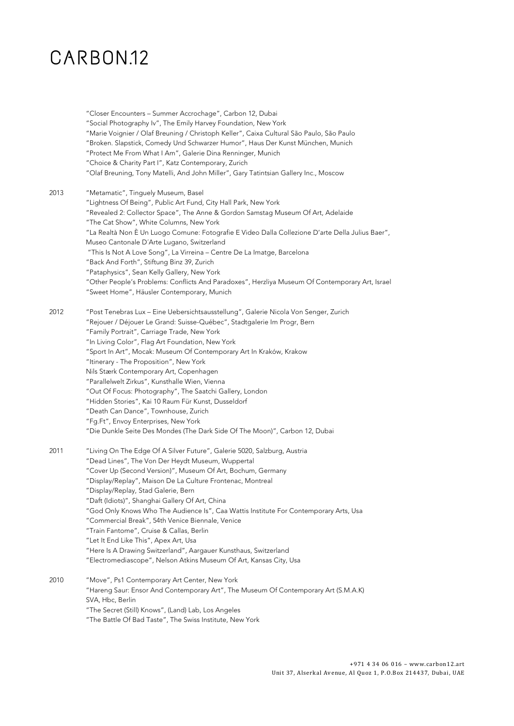|      | "Closer Encounters - Summer Accrochage", Carbon 12, Dubai<br>"Social Photography Iv", The Emily Harvey Foundation, New York<br>"Marie Voignier / Olaf Breuning / Christoph Keller", Caixa Cultural São Paulo, São Paulo<br>"Broken. Slapstick, Comedy Und Schwarzer Humor", Haus Der Kunst München, Munich<br>"Protect Me From What I Am", Galerie Dina Renninger, Munich<br>"Choice & Charity Part I", Katz Contemporary, Zurich<br>"Olaf Breuning, Tony Matelli, And John Miller", Gary Tatintsian Gallery Inc., Moscow                                                                                                                                                                                                                                            |
|------|----------------------------------------------------------------------------------------------------------------------------------------------------------------------------------------------------------------------------------------------------------------------------------------------------------------------------------------------------------------------------------------------------------------------------------------------------------------------------------------------------------------------------------------------------------------------------------------------------------------------------------------------------------------------------------------------------------------------------------------------------------------------|
| 2013 | "Metamatic", Tinguely Museum, Basel<br>"Lightness Of Being", Public Art Fund, City Hall Park, New York<br>"Revealed 2: Collector Space", The Anne & Gordon Samstag Museum Of Art, Adelaide<br>"The Cat Show", White Columns, New York<br>"La Realtà Non È Un Luogo Comune: Fotografie E Video Dalla Collezione D'arte Della Julius Baer",<br>Museo Cantonale D'Arte Lugano, Switzerland<br>"This Is Not A Love Song", La Virreina - Centre De La Imatge, Barcelona<br>"Back And Forth", Stiftung Binz 39, Zurich<br>"Pataphysics", Sean Kelly Gallery, New York<br>"Other People's Problems: Conflicts And Paradoxes", Herzliya Museum Of Contemporary Art, Israel<br>"Sweet Home", Häusler Contemporary, Munich                                                     |
| 2012 | "Post Tenebras Lux - Eine Uebersichtsausstellung", Galerie Nicola Von Senger, Zurich<br>"Rejouer / Déjouer Le Grand: Suisse-Québec", Stadtgalerie Im Progr, Bern<br>"Family Portrait", Carriage Trade, New York<br>"In Living Color", Flag Art Foundation, New York<br>"Sport In Art", Mocak: Museum Of Contemporary Art In Kraków, Krakow<br>"Itinerary - The Proposition", New York<br>Nils Stærk Contemporary Art, Copenhagen<br>"Parallelwelt Zirkus", Kunsthalle Wien, Vienna<br>"Out Of Focus: Photography", The Saatchi Gallery, London<br>"Hidden Stories", Kai 10 Raum Für Kunst, Dusseldorf<br>"Death Can Dance", Townhouse, Zurich<br>"Fg.Ft", Envoy Enterprises, New York<br>"Die Dunkle Seite Des Mondes (The Dark Side Of The Moon)", Carbon 12, Dubai |
| 2011 | "Living On The Edge Of A Silver Future", Galerie 5020, Salzburg, Austria<br>"Dead Lines", The Von Der Heydt Museum, Wuppertal<br>"Cover Up (Second Version)", Museum Of Art, Bochum, Germany<br>"Display/Replay", Maison De La Culture Frontenac, Montreal<br>"Display/Replay, Stad Galerie, Bern<br>"Daft (Idiots)", Shanghai Gallery Of Art, China<br>"God Only Knows Who The Audience Is", Caa Wattis Institute For Contemporary Arts, Usa<br>"Commercial Break", 54th Venice Biennale, Venice<br>"Train Fantome", Cruise & Callas, Berlin<br>"Let It End Like This", Apex Art, Usa<br>"Here Is A Drawing Switzerland", Aargauer Kunsthaus, Switzerland<br>"Electromediascope", Nelson Atkins Museum Of Art, Kansas City, Usa                                     |
| 2010 | "Move", Ps1 Contemporary Art Center, New York<br>"Hareng Saur: Ensor And Contemporary Art", The Museum Of Contemporary Art (S.M.A.K)<br>SVA, Hbc, Berlin<br>"The Secret (Still) Knows", (Land) Lab, Los Angeles<br>"The Battle Of Bad Taste", The Swiss Institute, New York                                                                                                                                                                                                                                                                                                                                                                                                                                                                                          |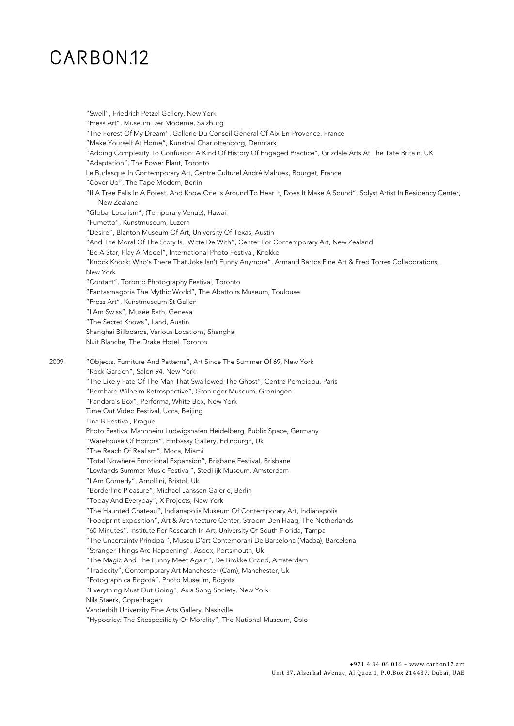"Swell", Friedrich Petzel Gallery, New York "Press Art", Museum Der Moderne, Salzburg "The Forest Of My Dream", Gallerie Du Conseil Général Of Aix-En-Provence, France "Make Yourself At Home", Kunsthal Charlottenborg, Denmark "Adding Complexity To Confusion: A Kind Of History Of Engaged Practice", Grizdale Arts At The Tate Britain, UK "Adaptation", The Power Plant, Toronto Le Burlesque In Contemporary Art, Centre Culturel André Malruex, Bourget, France "Cover Up", The Tape Modern, Berlin "If A Tree Falls In A Forest, And Know One Is Around To Hear It, Does It Make A Sound", Solyst Artist In Residency Center, New Zealand "Global Localism", (Temporary Venue), Hawaii "Fumetto", Kunstmuseum, Luzern "Desire", Blanton Museum Of Art, University Of Texas, Austin "And The Moral Of The Story Is...Witte De With", Center For Contemporary Art, New Zealand "Be A Star, Play A Model", International Photo Festival, Knokke "Knock Knock: Who's There That Joke Isn't Funny Anymore", Armand Bartos Fine Art & Fred Torres Collaborations, New York "Contact", Toronto Photography Festival, Toronto "Fantasmagoria The Mythic World", The Abattoirs Museum, Toulouse "Press Art", Kunstmuseum St Gallen "I Am Swiss", Musée Rath, Geneva "The Secret Knows", Land, Austin Shanghai Billboards, Various Locations, Shanghai Nuit Blanche, The Drake Hotel, Toronto 2009 "Objects, Furniture And Patterns", Art Since The Summer Of 69, New York "Rock Garden", Salon 94, New York "The Likely Fate Of The Man That Swallowed The Ghost", Centre Pompidou, Paris "Bernhard Wilhelm Retrospective", Groninger Museum, Groningen "Pandora's Box", Performa, White Box, New York Time Out Video Festival, Ucca, Beijing Tina B Festival, Prague Photo Festival Mannheim Ludwigshafen Heidelberg, Public Space, Germany "Warehouse Of Horrors", Embassy Gallery, Edinburgh, Uk "The Reach Of Realism", Moca, Miami "Total Nowhere Emotional Expansion", Brisbane Festival, Brisbane "Lowlands Summer Music Festival", Stedilijk Museum, Amsterdam "I Am Comedy", Arnolfini, Bristol, Uk "Borderline Pleasure", Michael Janssen Galerie, Berlin "Today And Everyday", X Projects, New York "The Haunted Chateau", Indianapolis Museum Of Contemporary Art, Indianapolis "Foodprint Exposition", Art & Architecture Center, Stroom Den Haag, The Netherlands "60 Minutes", Institute For Research In Art, University Of South Florida, Tampa "The Uncertainty Principal", Museu D'art Contemorani De Barcelona (Macba), Barcelona "Stranger Things Are Happening", Aspex, Portsmouth, Uk "The Magic And The Funny Meet Again", De Brokke Grond, Amsterdam "Tradecity", Contemporary Art Manchester (Cam), Manchester, Uk "Fotographica Bogotá", Photo Museum, Bogota "Everything Must Out Going", Asia Song Society, New York Nils Staerk, Copenhagen Vanderbilt University Fine Arts Gallery, Nashville "Hypocricy: The Sitespecificity Of Morality", The National Museum, Oslo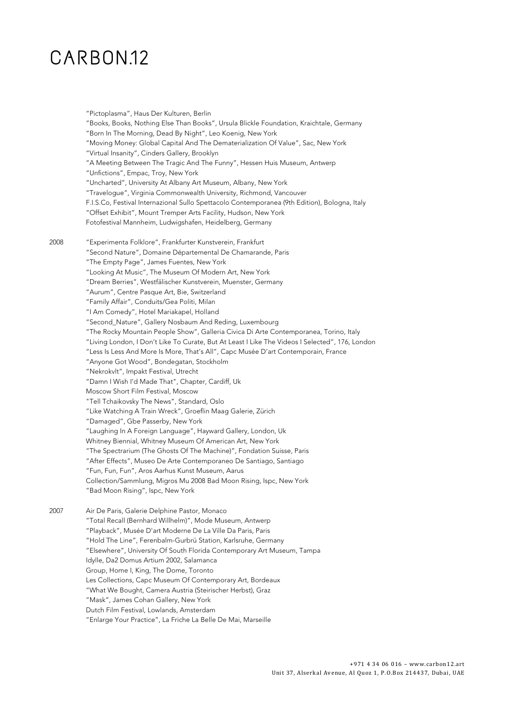"Pictoplasma", Haus Der Kulturen, Berlin "Books, Books, Nothing Else Than Books", Ursula Blickle Foundation, Kraichtale, Germany "Born In The Morning, Dead By Night", Leo Koenig, New York "Moving Money: Global Capital And The Dematerialization Of Value", Sac, New York "Virtual Insanity", Cinders Gallery, Brooklyn "A Meeting Between The Tragic And The Funny", Hessen Huis Museum, Antwerp "Unfictions", Empac, Troy, New York "Uncharted", University At Albany Art Museum, Albany, New York "Travelogue", Virginia Commonwealth University, Richmond, Vancouver F.I.S.Co, Festival Internazional Sullo Spettacolo Contemporanea (9th Edition), Bologna, Italy "Offset Exhibit", Mount Tremper Arts Facility, Hudson, New York Fotofestival Mannheim, Ludwigshafen, Heidelberg, Germany 2008 "Experimenta Folklore", Frankfurter Kunstverein, Frankfurt "Second Nature", Domaine Départemental De Chamarande, Paris "The Empty Page", James Fuentes, New York "Looking At Music", The Museum Of Modern Art, New York "Dream Berries", Westfälischer Kunstverein, Muenster, Germany "Aurum", Centre Pasque Art, Bie, Switzerland "Family Affair", Conduits/Gea Politi, Milan "I Am Comedy", Hotel Mariakapel, Holland "Second\_Nature", Gallery Nosbaum And Reding, Luxembourg "The Rocky Mountain People Show", Galleria Civica Di Arte Contemporanea, Torino, Italy "Living London, I Don't Like To Curate, But At Least I Like The Videos I Selected", 176, London "Less Is Less And More Is More, That's All", Capc Musée D'art Contemporain, France "Anyone Got Wood", Bondegatan, Stockholm "Nekrokvlt", Impakt Festival, Utrecht "Damn I Wish I'd Made That", Chapter, Cardiff, Uk Moscow Short Film Festival, Moscow "Tell Tchaikovsky The News", Standard, Oslo "Like Watching A Train Wreck", Groeflin Maag Galerie, Zürich "Damaged", Gbe Passerby, New York "Laughing In A Foreign Language", Hayward Gallery, London, Uk Whitney Biennial, Whitney Museum Of American Art, New York "The Spectrarium (The Ghosts Of The Machine)", Fondation Suisse, Paris "After Effects", Museo De Arte Contemporaneo De Santiago, Santiago "Fun, Fun, Fun", Aros Aarhus Kunst Museum, Aarus Collection/Sammlung, Migros Mu 2008 Bad Moon Rising, Ispc, New York "Bad Moon Rising", Ispc, New York 2007 Air De Paris, Galerie Delphine Pastor, Monaco "Total Recall (Bernhard Willhelm)", Mode Museum, Antwerp "Playback", Musée D'art Moderne De La Ville Da Paris, Paris "Hold The Line", Ferenbalm-Gurbrü Station, Karlsruhe, Germany "Elsewhere", University Of South Florida Contemporary Art Museum, Tampa Idylle, Da2 Domus Artium 2002, Salamanca Group, Home I, King, The Dome, Toronto Les Collections, Capc Museum Of Contemporary Art, Bordeaux "What We Bought, Camera Austria (Steirischer Herbst), Graz "Mask", James Cohan Gallery, New York Dutch Film Festival, Lowlands, Amsterdam "Enlarge Your Practice", La Friche La Belle De Mai, Marseille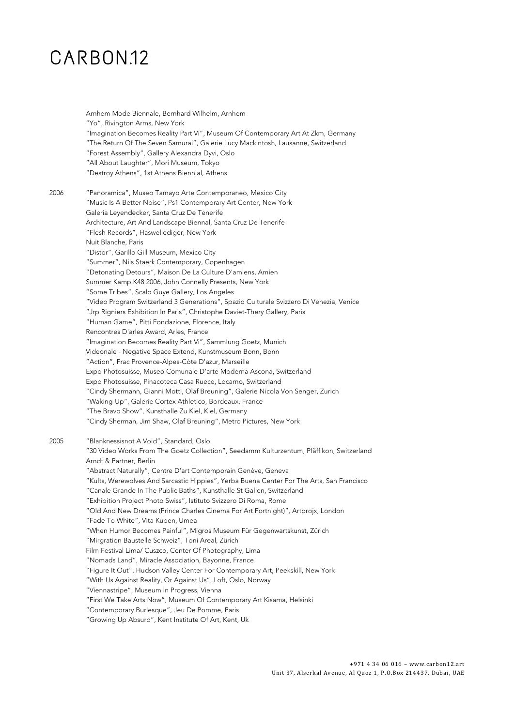|      | Arnhem Mode Biennale, Bernhard Wilhelm, Arnhem<br>"Yo", Rivington Arms, New York<br>"Imagination Becomes Reality Part Vi", Museum Of Contemporary Art At Zkm, Germany<br>"The Return Of The Seven Samurai", Galerie Lucy Mackintosh, Lausanne, Switzerland<br>"Forest Assembly", Gallery Alexandra Dyvi, Oslo<br>"All About Laughter", Mori Museum, Tokyo<br>"Destroy Athens", 1st Athens Biennial, Athens                                                                                                                                                                                                                                                                                                                                                                                                                                                                                                                                                                                                                                   |
|------|----------------------------------------------------------------------------------------------------------------------------------------------------------------------------------------------------------------------------------------------------------------------------------------------------------------------------------------------------------------------------------------------------------------------------------------------------------------------------------------------------------------------------------------------------------------------------------------------------------------------------------------------------------------------------------------------------------------------------------------------------------------------------------------------------------------------------------------------------------------------------------------------------------------------------------------------------------------------------------------------------------------------------------------------|
| 2006 | "Panoramica", Museo Tamayo Arte Contemporaneo, Mexico City<br>"Music Is A Better Noise", Ps1 Contemporary Art Center, New York<br>Galeria Leyendecker, Santa Cruz De Tenerife<br>Architecture, Art And Landscape Biennal, Santa Cruz De Tenerife                                                                                                                                                                                                                                                                                                                                                                                                                                                                                                                                                                                                                                                                                                                                                                                             |
|      | "Flesh Records", Haswellediger, New York<br>Nuit Blanche, Paris<br>"Distor", Garillo Gill Museum, Mexico City<br>"Summer", Nils Staerk Contemporary, Copenhagen<br>"Detonating Detours", Maison De La Culture D'amiens, Amien                                                                                                                                                                                                                                                                                                                                                                                                                                                                                                                                                                                                                                                                                                                                                                                                                |
|      | Summer Kamp K48 2006, John Connelly Presents, New York<br>"Some Tribes", Scalo Guye Gallery, Los Angeles<br>"Video Program Switzerland 3 Generations", Spazio Culturale Svizzero Di Venezia, Venice<br>"Jrp Rigniers Exhibition In Paris", Christophe Daviet-Thery Gallery, Paris<br>"Human Game", Pitti Fondazione, Florence, Italy                                                                                                                                                                                                                                                                                                                                                                                                                                                                                                                                                                                                                                                                                                         |
|      | Rencontres D'arles Award, Arles, France<br>"Imagination Becomes Reality Part Vi", Sammlung Goetz, Munich<br>Videonale - Negative Space Extend, Kunstmuseum Bonn, Bonn<br>"Action", Frac Provence-Alpes-Còte D'azur, Marseille                                                                                                                                                                                                                                                                                                                                                                                                                                                                                                                                                                                                                                                                                                                                                                                                                |
|      | Expo Photosuisse, Museo Comunale D'arte Moderna Ascona, Switzerland<br>Expo Photosuisse, Pinacoteca Casa Ruece, Locarno, Switzerland<br>"Cindy Shermann, Gianni Motti, Olaf Breuning", Galerie Nicola Von Senger, Zurich<br>"Waking-Up", Galerie Cortex Athletico, Bordeaux, France<br>"The Bravo Show", Kunsthalle Zu Kiel, Kiel, Germany<br>"Cindy Sherman, Jim Shaw, Olaf Breuning", Metro Pictures, New York                                                                                                                                                                                                                                                                                                                                                                                                                                                                                                                                                                                                                             |
| 2005 | "Blanknessisnot A Void", Standard, Oslo<br>"30 Video Works From The Goetz Collection", Seedamm Kulturzentum, Pfäffikon, Switzerland                                                                                                                                                                                                                                                                                                                                                                                                                                                                                                                                                                                                                                                                                                                                                                                                                                                                                                          |
|      | Arndt & Partner, Berlin<br>"Abstract Naturally", Centre D'art Contemporain Genève, Geneva<br>"Kults, Werewolves And Sarcastic Hippies", Yerba Buena Center For The Arts, San Francisco<br>"Canale Grande In The Public Baths", Kunsthalle St Gallen, Switzerland<br>"Exhibition Project Photo Swiss", Istituto Svizzero Di Roma, Rome<br>"Old And New Dreams (Prince Charles Cinema For Art Fortnight)", Artprojx, London<br>"Fade To White", Vita Kuben, Umea<br>"When Humor Becomes Painful", Migros Museum Für Gegenwartskunst, Zürich<br>"Mirgration Baustelle Schweiz", Toni Areal, Zürich<br>Film Festival Lima/ Cuszco, Center Of Photography, Lima<br>"Nomads Land", Miracle Association, Bayonne, France<br>"Figure It Out", Hudson Valley Center For Contemporary Art, Peekskill, New York<br>"With Us Against Reality, Or Against Us", Loft, Oslo, Norway<br>"Viennastripe", Museum In Progress, Vienna<br>"First We Take Arts Now", Museum Of Contemporary Art Kisama, Helsinki<br>"Contemporary Burlesque", Jeu De Pomme, Paris |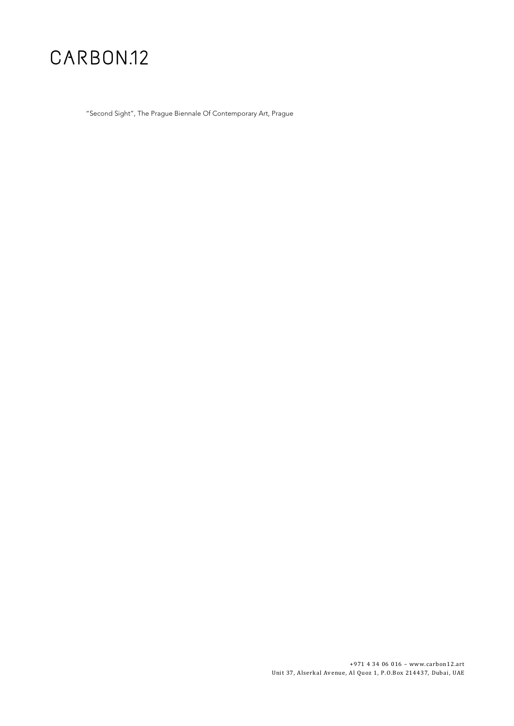"Second Sight", The Prague Biennale Of Contemporary Art, Prague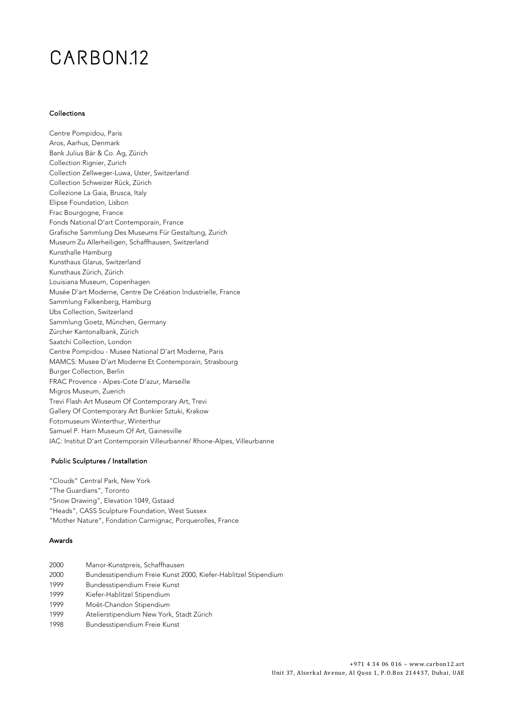### CARBON<sub>12</sub>

#### Collections

Centre Pompidou, Paris Aros, Aarhus, Denmark Bank Julius Bär & Co. Ag, Zürich Collection Rignier, Zurich Collection Zellweger-Luwa, Uster, Switzerland Collection Schweizer Rück, Zürich Collezione La Gaia, Brusca, Italy Elipse Foundation, Lisbon Frac Bourgogne, France Fonds National D'art Contemporain, France Grafische Sammlung Des Museums Für Gestaltung, Zurich Museum Zu Allerheiligen, Schaffhausen, Switzerland Kunsthalle Hamburg Kunsthaus Glarus, Switzerland Kunsthaus Zürich, Zürich Louisiana Museum, Copenhagen Musée D'art Moderne, Centre De Création Industrielle, France Sammlung Falkenberg, Hamburg Ubs Collection, Switzerland Sammlung Goetz, München, Germany Zürcher Kantonalbank, Zürich Saatchi Collection, London Centre Pompidou - Musee National D'art Moderne, Paris MAMCS: Musee D'art Moderne Et Contemporain, Strasbourg Burger Collection, Berlin FRAC Provence - Alpes-Cote D'azur, Marseille Migros Museum, Zuerich Trevi Flash Art Museum Of Contemporary Art, Trevi Gallery Of Contemporary Art Bunkier Sztuki, Krakow Fotomuseum Winterthur, Winterthur Samuel P. Harn Museum Of Art, Gainesville IAC: Institut D'art Contemporain Villeurbanne/ Rhone-Alpes, Villeurbanne

#### Public Sculptures / Installation

"Clouds" Central Park, New York "The Guardians", Toronto "Snow Drawing", Elevation 1049, Gstaad "Heads", CASS Sculpture Foundation, West Sussex "Mother Nature", Fondation Carmignac, Porquerolles, France

#### Awards

- 2000 Manor-Kunstpreis, Schaffhausen 2000 Bundesstipendium Freie Kunst 2000, Kiefer-Hablitzel Stipendium 1999 Bundesstipendium Freie Kunst 1999 Kiefer-Hablitzel Stipendium 1999 Moët-Chandon Stipendium 1999 Atelierstipendium New York, Stadt Zürich
- 1998 Bundesstipendium Freie Kunst